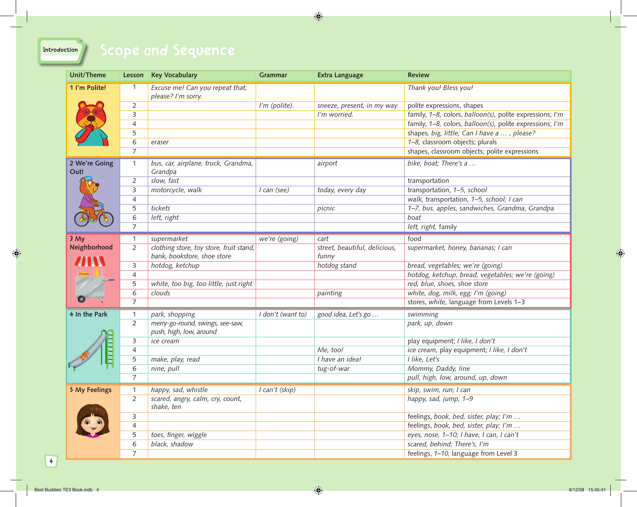## Scope and Sequence

| Unit/Theme            | Lesson         | <b>Key Vocabulary</b>                                                  | <b>Grammar</b>    | <b>Extra Language</b>                  | <b>Review</b>                                            |
|-----------------------|----------------|------------------------------------------------------------------------|-------------------|----------------------------------------|----------------------------------------------------------|
| 1 I'm Polite!         | 1              | Excuse me! Can you repeat that,<br>please? I'm sorry.                  |                   |                                        | Thank you! Bless you!                                    |
|                       | $\overline{2}$ |                                                                        | I'm (polite).     | sneeze, present, in my way             | polite expressions, shapes                               |
|                       | 3              |                                                                        |                   | I'm worried.                           | family, 1-8, colors, balloon(s), polite expressions; I'm |
|                       | $\overline{4}$ |                                                                        |                   |                                        | family, 1-8, colors, balloon(s), polite expressions; I'm |
|                       | $\overline{5}$ |                                                                        |                   |                                        | shapes, big, little; Can I have a , please?              |
|                       | $\overline{6}$ | eraser                                                                 |                   |                                        | 1-8, classroom objects; plurals                          |
|                       | $\overline{7}$ |                                                                        |                   |                                        | shapes, classroom objects; polite expressions            |
| 2 We're Going<br>Out! | 1              | bus, car, airplane, truck, Grandma,<br>Grandpa                         |                   | airport                                | bike, boat; There's a                                    |
|                       | 2              | slow, fast                                                             |                   |                                        | transportation                                           |
|                       | 3              | motorcycle, walk                                                       | I can (see)       | today, every day                       | transportation, 1-5, school                              |
|                       | $\overline{4}$ |                                                                        |                   |                                        | walk, transportation, 1-5, school; I can                 |
|                       | 5              | tickets                                                                |                   | picnic                                 | 1-7, bus, apples, sandwiches, Grandma, Grandpa           |
|                       | 6              | left, right                                                            |                   |                                        | boat                                                     |
|                       | $\overline{7}$ |                                                                        |                   |                                        | left, right, family                                      |
| 3 My                  | $\mathbf{1}$   | supermarket                                                            | we're (going)     | cart                                   | food                                                     |
| Neighborhood          | $\overline{2}$ | clothing store, toy store, fruit stand,<br>bank, bookstore, shoe store |                   | street, beautiful, delicious,<br>funny | supermarket, honey, bananas; I can                       |
|                       | 3              | hotdog, ketchup                                                        |                   | hotdog stand                           | bread, vegetables; we're (going)                         |
|                       | $\overline{4}$ |                                                                        |                   |                                        | hotdog, ketchup, bread, vegetables; we're (going)        |
|                       | $\overline{5}$ | white, too big, too little, just right                                 |                   |                                        | red, blue, shoes, shoe store                             |
|                       | 6              | clouds                                                                 |                   | painting                               | white, dog, milk, egg; I'm (going)                       |
|                       | $\overline{7}$ |                                                                        |                   |                                        | stores, white, language from Levels 1-3                  |
| 4 In the Park         | 1              | park, shopping                                                         | I don't (want to) | good idea, Let's go                    | swimming                                                 |
|                       | 2              | merry-go-round, swings, see-saw,<br>push, high, low, around            |                   |                                        | park, up, down                                           |
|                       | 3              | ice cream                                                              |                   |                                        | play equipment; I like, I don't                          |
|                       | $\overline{4}$ |                                                                        |                   | Me, too!                               | ice cream, play equipment; I like, I don't               |
|                       | $\overline{5}$ | make, play, read                                                       |                   | I have an idea!                        | I like, Let's                                            |
|                       | $\overline{6}$ | nine, pull                                                             |                   | tug-of-war                             | Mommy, Daddy, line                                       |
|                       | $\overline{7}$ |                                                                        |                   |                                        | pull, high, low, around, up, down                        |
| 5 My Feelings         | $\mathbf{1}$   | happy, sad, whistle                                                    | I can't (skip)    |                                        | skip, swim, run; I can                                   |
|                       | $\overline{2}$ | scared, angry, calm, cry, count,<br>shake, ten                         |                   |                                        | happy, sad, jump, 1-9                                    |
|                       | 3              |                                                                        |                   |                                        | feelings, book, bed, sister, play; I'm                   |
|                       | $\overline{4}$ |                                                                        |                   |                                        | feelings, book, bed, sister, play; I'm                   |
|                       | 5              | toes, finger, wiggle                                                   |                   |                                        | eyes, nose, 1-10; I have, I can, I can't                 |
|                       | $\overline{6}$ | black, shadow                                                          |                   |                                        | scared, behind; There's, I'm                             |
|                       | $\overline{7}$ |                                                                        |                   |                                        | feelings, 1-10, language from Level 3                    |

 $\bigoplus$ 

 $\bigoplus$ 

Introduction

 $\bigcirc$